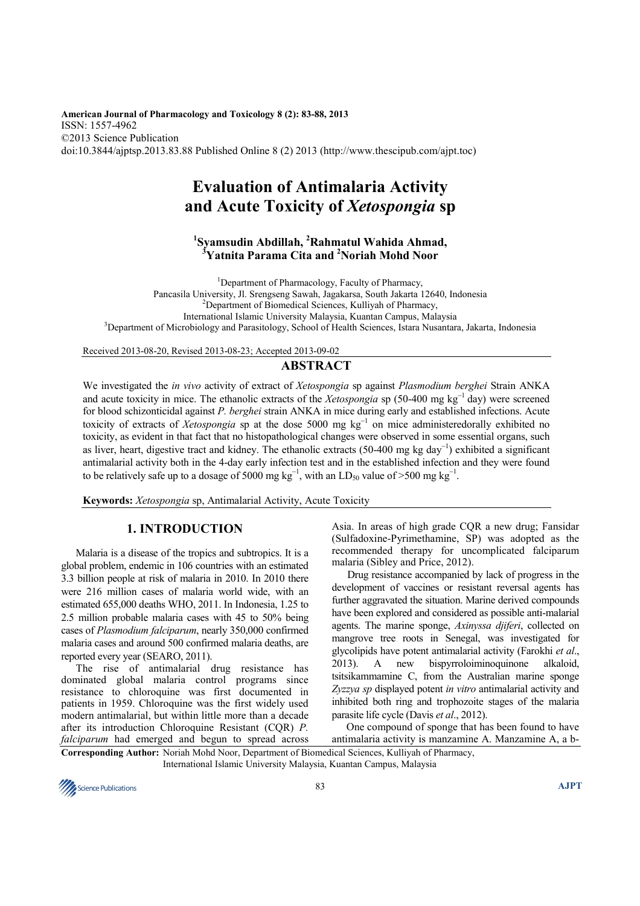**American Journal of Pharmacology and Toxicology 8 (2): 83-88, 2013**  ISSN: 1557-4962 ©2013 Science Publication doi:10.3844/ajptsp.2013.83.88 Published Online 8 (2) 2013 (http://www.thescipub.com/ajpt.toc)

# **Evaluation of Antimalaria Activity and Acute Toxicity of** *Xetospongia* **sp**

# **1 Syamsudin Abdillah, <sup>2</sup>Rahmatul Wahida Ahmad, <sup>3</sup>Yatnita Parama Cita and <sup>2</sup>Noriah Mohd Noor**

<sup>1</sup>Department of Pharmacology, Faculty of Pharmacy, Pancasila University, Jl. Srengseng Sawah, Jagakarsa, South Jakarta 12640, Indonesia <sup>2</sup>Department of Biomedical Sciences, Kulliyah of Pharmacy, International Islamic University Malaysia, Kuantan Campus, Malaysia <sup>3</sup>Department of Microbiology and Parasitology, School of Health Sciences, Istara Nusantara, Jakarta, Indonesia

Received 2013-08-20, Revised 2013-08-23; Accepted 2013-09-02

# **ABSTRACT**

We investigated the *in vivo* activity of extract of *Xetospongia* sp against *Plasmodium berghei* Strain ANKA and acute toxicity in mice. The ethanolic extracts of the *Xetospongia* sp (50-400 mg kg<sup>-1</sup> day) were screened for blood schizonticidal against *P. berghei* strain ANKA in mice during early and established infections. Acute toxicity of extracts of *Xetospongia* sp at the dose 5000 mg kg<sup>−</sup><sup>1</sup> on mice administeredorally exhibited no toxicity, as evident in that fact that no histopathological changes were observed in some essential organs, such as liver, heart, digestive tract and kidney. The ethanolic extracts (50-400 mg kg day<sup>−</sup><sup>1</sup> ) exhibited a significant antimalarial activity both in the 4-day early infection test and in the established infection and they were found to be relatively safe up to a dosage of 5000 mg  $kg^{-1}$ , with an LD<sub>50</sub> value of >500 mg kg<sup>-1</sup>.

**Keywords:** *Xetospongia* sp, Antimalarial Activity, Acute Toxicity

# **1. INTRODUCTION**

Malaria is a disease of the tropics and subtropics. It is a global problem, endemic in 106 countries with an estimated 3.3 billion people at risk of malaria in 2010. In 2010 there were 216 million cases of malaria world wide, with an estimated 655,000 deaths WHO, 2011. In Indonesia, 1.25 to 2.5 million probable malaria cases with 45 to 50% being cases of *Plasmodium falciparum*, nearly 350,000 confirmed malaria cases and around 500 confirmed malaria deaths, are reported every year (SEARO, 2011).

The rise of antimalarial drug resistance has dominated global malaria control programs since resistance to chloroquine was first documented in patients in 1959. Chloroquine was the first widely used modern antimalarial, but within little more than a decade after its introduction Chloroquine Resistant (CQR) *P. falciparum* had emerged and begun to spread across Asia. In areas of high grade CQR a new drug; Fansidar (Sulfadoxine-Pyrimethamine, SP) was adopted as the recommended therapy for uncomplicated falciparum malaria (Sibley and Price, 2012).

Drug resistance accompanied by lack of progress in the development of vaccines or resistant reversal agents has further aggravated the situation. Marine derived compounds have been explored and considered as possible anti-malarial agents. The marine sponge, *Axinyssa djiferi*, collected on mangrove tree roots in Senegal, was investigated for glycolipids have potent antimalarial activity (Farokhi *et al*., 2013). A new bispyrroloiminoquinone alkaloid, tsitsikammamine C, from the Australian marine sponge *Zyzzya sp* displayed potent *in vitro* antimalarial activity and inhibited both ring and trophozoite stages of the malaria parasite life cycle (Davis *et al*., 2012).

One compound of sponge that has been found to have antimalaria activity is manzamine A. Manzamine A, a b-

**Corresponding Author:** Noriah Mohd Noor, Department of Biomedical Sciences, Kulliyah of Pharmacy, International Islamic University Malaysia, Kuantan Campus, Malaysia

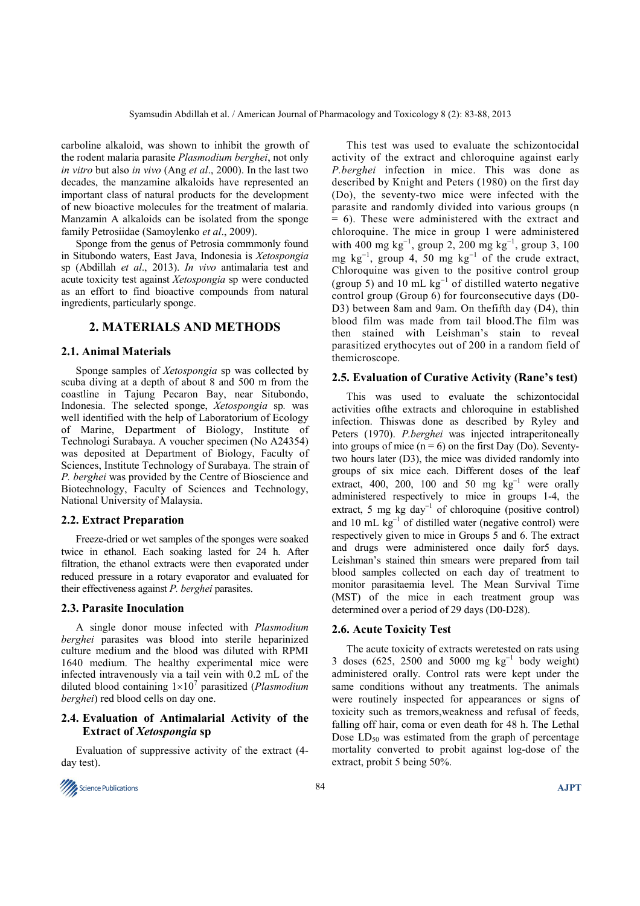carboline alkaloid, was shown to inhibit the growth of the rodent malaria parasite *Plasmodium berghei*, not only *in vitro* but also *in vivo* (Ang *et al*., 2000). In the last two decades, the manzamine alkaloids have represented an important class of natural products for the development of new bioactive molecules for the treatment of malaria. Manzamin A alkaloids can be isolated from the sponge family Petrosiidae (Samoylenko *et al*., 2009).

Sponge from the genus of Petrosia commmonly found in Situbondo waters, East Java, Indonesia is *Xetospongia*  sp (Abdillah *et al*., 2013). *In vivo* antimalaria test and acute toxicity test against *Xetospongia* sp were conducted as an effort to find bioactive compounds from natural ingredients, particularly sponge.

#### **2. MATERIALS AND METHODS**

#### **2.1. Animal Materials**

Sponge samples of *Xetospongia* sp was collected by scuba diving at a depth of about 8 and 500 m from the coastline in Tajung Pecaron Bay, near Situbondo, Indonesia. The selected sponge, *Xetospongia* sp*.* was well identified with the help of Laboratorium of Ecology of Marine, Department of Biology, Institute of Technologi Surabaya. A voucher specimen (No A24354) was deposited at Department of Biology, Faculty of Sciences, Institute Technology of Surabaya. The strain of *P. berghei* was provided by the Centre of Bioscience and Biotechnology, Faculty of Sciences and Technology, National University of Malaysia.

#### **2.2. Extract Preparation**

Freeze-dried or wet samples of the sponges were soaked twice in ethanol. Each soaking lasted for 24 h. After filtration, the ethanol extracts were then evaporated under reduced pressure in a rotary evaporator and evaluated for their effectiveness against *P. berghei* parasites.

#### **2.3. Parasite Inoculation**

A single donor mouse infected with *Plasmodium berghei* parasites was blood into sterile heparinized culture medium and the blood was diluted with RPMI 1640 medium. The healthy experimental mice were infected intravenously via a tail vein with 0.2 mL of the diluted blood containing 1×10<sup>7</sup> parasitized (*Plasmodium berghei*) red blood cells on day one.

#### **2.4. Evaluation of Antimalarial Activity of the Extract of** *Xetospongia* **sp**

Evaluation of suppressive activity of the extract (4 day test).



This test was used to evaluate the schizontocidal activity of the extract and chloroquine against early *P.berghei* infection in mice. This was done as described by Knight and Peters (1980) on the first day (Do), the seventy-two mice were infected with the parasite and randomly divided into various groups (n = 6). These were administered with the extract and chloroquine. The mice in group 1 were administered with 400 mg kg<sup>-1</sup>, group 2, 200 mg kg<sup>-1</sup>, group 3, 100 mg kg<sup>−</sup><sup>1</sup> , group 4, 50 mg kg<sup>−</sup><sup>1</sup> of the crude extract, Chloroquine was given to the positive control group (group 5) and 10 mL  $kg^{-1}$  of distilled waterto negative control group (Group 6) for fourconsecutive days (D0- D3) between 8am and 9am. On thefifth day (D4), thin blood film was made from tail blood.The film was then stained with Leishman's stain to reveal parasitized erythocytes out of 200 in a random field of themicroscope.

#### **2.5. Evaluation of Curative Activity (Rane's test)**

This was used to evaluate the schizontocidal activities ofthe extracts and chloroquine in established infection. Thiswas done as described by Ryley and Peters (1970). *P.berghei* was injected intraperitoneally into groups of mice  $(n = 6)$  on the first Day (Do). Seventytwo hours later (D3), the mice was divided randomly into groups of six mice each. Different doses of the leaf extract, 400, 200, 100 and 50 mg  $kg^{-1}$  were orally administered respectively to mice in groups 1-4, the extract, 5 mg kg day<sup>-1</sup> of chloroquine (positive control) and 10 mL kg<sup>-1</sup> of distilled water (negative control) were respectively given to mice in Groups 5 and 6. The extract and drugs were administered once daily for5 days. Leishman's stained thin smears were prepared from tail blood samples collected on each day of treatment to monitor parasitaemia level. The Mean Survival Time (MST) of the mice in each treatment group was determined over a period of 29 days (D0-D28).

#### **2.6. Acute Toxicity Test**

The acute toxicity of extracts weretested on rats using 3 doses (625, 2500 and 5000 mg  $kg^{-1}$  body weight) administered orally. Control rats were kept under the same conditions without any treatments. The animals were routinely inspected for appearances or signs of toxicity such as tremors,weakness and refusal of feeds, falling off hair, coma or even death for 48 h. The Lethal Dose  $LD_{50}$  was estimated from the graph of percentage mortality converted to probit against log-dose of the extract, probit 5 being 50%.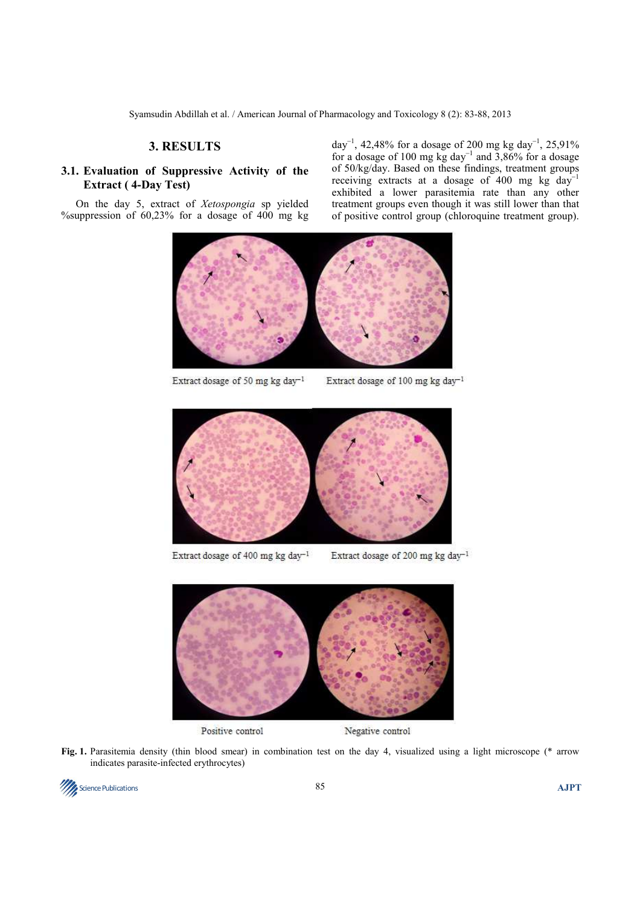#### **3. RESULTS**

## **3.1. Evaluation of Suppressive Activity of the Extract ( 4-Day Test)**

On the day 5, extract of *Xetospongia* sp yielded %suppression of 60,23% for a dosage of 400 mg kg

day<sup>-1</sup>, 42,48% for a dosage of 200 mg kg day<sup>-1</sup>, 25,91% for a dosage of 100 mg kg day<sup>-1</sup> and 3,86% for a dosage of 50/kg/day. Based on these findings, treatment groups receiving extracts at a dosage of 400 mg kg day<sup>−</sup><sup>1</sup> exhibited a lower parasitemia rate than any other treatment groups even though it was still lower than that of positive control group (chloroquine treatment group).



Extract dosage of 50 mg kg day<sup>-1</sup>

Extract dosage of 100 mg kg day-1



Extract dosage of 400 mg kg day<sup>-1</sup>

Extract dosage of 200 mg kg day<sup>-1</sup>



Positive control

Negative control

**Fig. 1.** Parasitemia density (thin blood smear) in combination test on the day 4, visualized using a light microscope (\* arrow indicates parasite-infected erythrocytes)

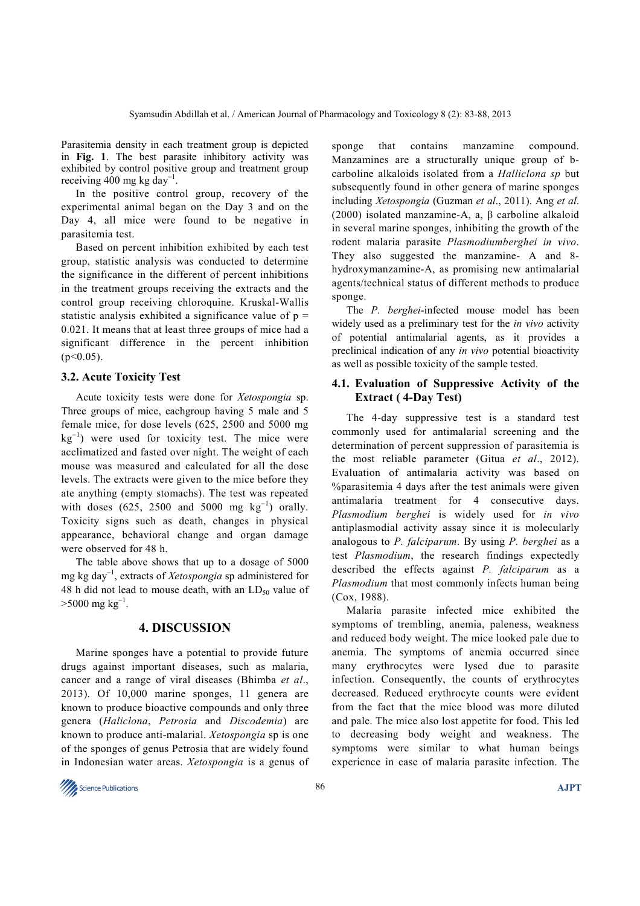Parasitemia density in each treatment group is depicted in **Fig. 1**. The best parasite inhibitory activity was exhibited by control positive group and treatment group receiving 400 mg kg day<sup>−</sup><sup>1</sup> .

In the positive control group, recovery of the experimental animal began on the Day 3 and on the Day 4, all mice were found to be negative in parasitemia test.

Based on percent inhibition exhibited by each test group, statistic analysis was conducted to determine the significance in the different of percent inhibitions in the treatment groups receiving the extracts and the control group receiving chloroquine. Kruskal-Wallis statistic analysis exhibited a significance value of  $p =$ 0.021. It means that at least three groups of mice had a significant difference in the percent inhibition  $(p<0.05)$ .

#### **3.2. Acute Toxicity Test**

Acute toxicity tests were done for *Xetospongia* sp. Three groups of mice, eachgroup having 5 male and 5 female mice, for dose levels (625, 2500 and 5000 mg kg<sup>-1</sup>) were used for toxicity test. The mice were acclimatized and fasted over night. The weight of each mouse was measured and calculated for all the dose levels. The extracts were given to the mice before they ate anything (empty stomachs). The test was repeated with doses  $(625, 2500 \text{ and } 5000 \text{ mg kg}^{-1})$  orally. Toxicity signs such as death, changes in physical appearance, behavioral change and organ damage were observed for 48 h.

The table above shows that up to a dosage of 5000 mg kg day<sup>−</sup><sup>1</sup> , extracts of *Xetospongia* sp administered for 48 h did not lead to mouse death, with an  $LD_{50}$  value of  $>$ 5000 mg kg<sup>-1</sup>.

#### **4. DISCUSSION**

Marine sponges have a potential to provide future drugs against important diseases, such as malaria, cancer and a range of viral diseases (Bhimba *et al*., 2013). Of 10,000 marine sponges, 11 genera are known to produce bioactive compounds and only three genera (*Haliclona*, *Petrosia* and *Discodemia*) are known to produce anti-malarial. *Xetospongia* sp is one of the sponges of genus Petrosia that are widely found in Indonesian water areas. *Xetospongia* is a genus of sponge that contains manzamine compound. Manzamines are a structurally unique group of bcarboline alkaloids isolated from a *Halliclona sp* but subsequently found in other genera of marine sponges including *Xetospongia* (Guzman *et al*., 2011). Ang *et al*. (2000) isolated manzamine-A, a, β carboline alkaloid in several marine sponges, inhibiting the growth of the rodent malaria parasite *Plasmodiumberghei in vivo*. They also suggested the manzamine- A and 8 hydroxymanzamine-A, as promising new antimalarial agents/technical status of different methods to produce sponge.

The *P. berghei*-infected mouse model has been widely used as a preliminary test for the *in vivo* activity of potential antimalarial agents, as it provides a preclinical indication of any *in vivo* potential bioactivity as well as possible toxicity of the sample tested.

## **4.1. Evaluation of Suppressive Activity of the Extract ( 4-Day Test)**

The 4-day suppressive test is a standard test commonly used for antimalarial screening and the determination of percent suppression of parasitemia is the most reliable parameter (Gitua *et al*., 2012). Evaluation of antimalaria activity was based on %parasitemia 4 days after the test animals were given antimalaria treatment for 4 consecutive days. *Plasmodium berghei* is widely used for *in vivo*  antiplasmodial activity assay since it is molecularly analogous to *P. falciparum*. By using *P. berghei* as a test *Plasmodium*, the research findings expectedly described the effects against *P. falciparum* as a *Plasmodium* that most commonly infects human being (Cox, 1988).

Malaria parasite infected mice exhibited the symptoms of trembling, anemia, paleness, weakness and reduced body weight. The mice looked pale due to anemia. The symptoms of anemia occurred since many erythrocytes were lysed due to parasite infection. Consequently, the counts of erythrocytes decreased. Reduced erythrocyte counts were evident from the fact that the mice blood was more diluted and pale. The mice also lost appetite for food. This led to decreasing body weight and weakness. The symptoms were similar to what human beings experience in case of malaria parasite infection. The

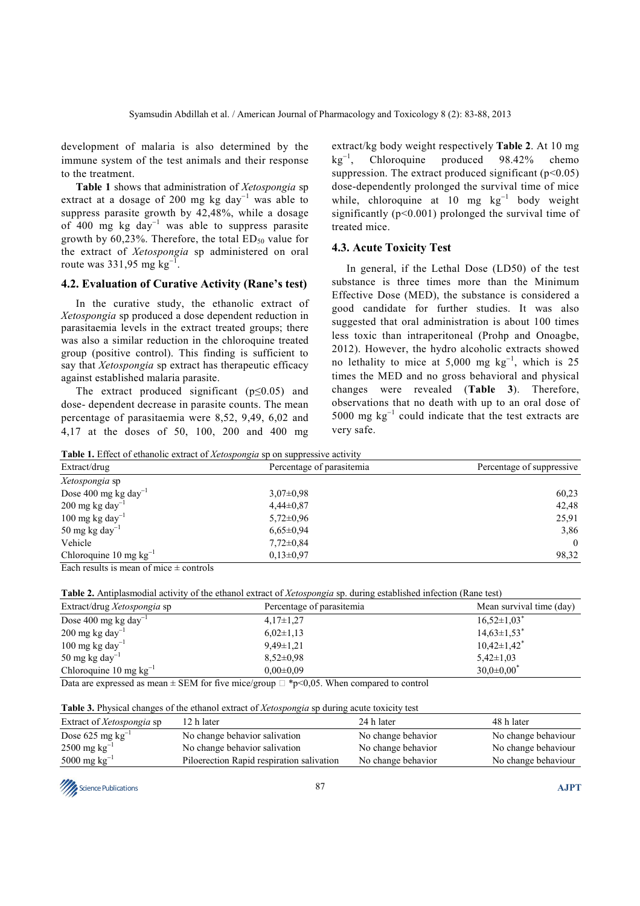development of malaria is also determined by the immune system of the test animals and their response to the treatment.

**Table 1** shows that administration of *Xetospongia* sp extract at a dosage of 200 mg kg day<sup>-1</sup> was able to suppress parasite growth by 42,48%, while a dosage of 400 mg kg day<sup>−</sup><sup>1</sup> was able to suppress parasite growth by 60,23%. Therefore, the total  $ED_{50}$  value for the extract of *Xetospongia* sp administered on oral route was  $331,95$  mg  $kg^{-1}$ .

#### **4.2. Evaluation of Curative Activity (Rane's test)**

In the curative study, the ethanolic extract of *Xetospongia* sp produced a dose dependent reduction in parasitaemia levels in the extract treated groups; there was also a similar reduction in the chloroquine treated group (positive control). This finding is sufficient to say that *Xetospongia* sp extract has therapeutic efficacy against established malaria parasite.

The extract produced significant ( $p \le 0.05$ ) and dose- dependent decrease in parasite counts. The mean percentage of parasitaemia were 8,52, 9,49, 6,02 and 4,17 at the doses of 50, 100, 200 and 400 mg extract/kg body weight respectively **Table 2**. At 10 mg kg<sup>−</sup><sup>1</sup> , Chloroquine produced 98.42% chemo suppression. The extract produced significant  $(p<0.05)$ dose-dependently prolonged the survival time of mice while, chloroquine at 10 mg kg<sup>-1</sup> body weight significantly (p<0.001) prolonged the survival time of treated mice.

#### **4.3. Acute Toxicity Test**

In general, if the Lethal Dose (LD50) of the test substance is three times more than the Minimum Effective Dose (MED), the substance is considered a good candidate for further studies. It was also suggested that oral administration is about 100 times less toxic than intraperitoneal (Prohp and Onoagbe, 2012). However, the hydro alcoholic extracts showed no lethality to mice at  $5,000$  mg kg<sup>-1</sup>, which is 25 times the MED and no gross behavioral and physical changes were revealed (**Table 3**). Therefore, observations that no death with up to an oral dose of 5000 mg kg<sup>−</sup><sup>1</sup> could indicate that the test extracts are very safe.

| Table 1. Effect of ethanolic extract of Xetospongia sp on suppressive activity |                           |                           |  |  |
|--------------------------------------------------------------------------------|---------------------------|---------------------------|--|--|
| Extract/drug                                                                   | Percentage of parasitemia | Percentage of suppressive |  |  |
| Xetospongia sp                                                                 |                           |                           |  |  |
| Dose 400 mg kg day <sup>-1</sup>                                               | $3.07 \pm 0.98$           | 60,23                     |  |  |
| $200 \text{ mg}$ kg day <sup>-1</sup>                                          | $4,44\pm0,87$             | 42,48                     |  |  |
| $100 \text{ mg}$ kg day <sup>-1</sup>                                          | $5,72\pm0.96$             | 25,91                     |  |  |
| 50 mg kg day <sup>-1</sup>                                                     | $6,65\pm0.94$             | 3,86                      |  |  |
| Vehicle                                                                        | $7.72 \pm 0.84$           | $\Omega$                  |  |  |
| Chloroquine 10 mg $kg^{-1}$                                                    | $0.13 \pm 0.97$           | 98,32                     |  |  |

Each results is mean of mice  $\pm$  controls

**Table 2.** Antiplasmodial activity of the ethanol extract of *Xetospongia* sp. during established infection (Rane test)

| Extract/drug Xetospongia sp           | Percentage of parasitemia                                                                                                                                                                                                                                                                        | Mean survival time (day)      |
|---------------------------------------|--------------------------------------------------------------------------------------------------------------------------------------------------------------------------------------------------------------------------------------------------------------------------------------------------|-------------------------------|
| Dose 400 mg kg day <sup>-1</sup>      | $4,17\pm1,27$                                                                                                                                                                                                                                                                                    | $16,52\pm1,03$ <sup>*</sup>   |
| $200 \text{ mg}$ kg day <sup>-1</sup> | $6,02\pm1,13$                                                                                                                                                                                                                                                                                    | $14,63 \pm 1,53$ <sup>*</sup> |
| $100 \text{ mg}$ kg day <sup>-1</sup> | $9,49\pm1,21$                                                                                                                                                                                                                                                                                    | $10,42\pm1,42^*$              |
| 50 mg kg day <sup>-1</sup>            | $8,52\pm0.98$                                                                                                                                                                                                                                                                                    | $5,42\pm1,03$                 |
| Chloroquine 10 mg $kg^{-1}$           | $0.00 \pm 0.09$                                                                                                                                                                                                                                                                                  | $30.0 \pm 0.00^*$             |
|                                       | $\mathbf{D}$ and $\mathbf{D}$ and $\mathbf{D}$ and $\mathbf{D}$ and $\mathbf{D}$ and $\mathbf{D}$ and $\mathbf{D}$ and $\mathbf{D}$ and $\mathbf{D}$ and $\mathbf{D}$ and $\mathbf{D}$ and $\mathbf{D}$ and $\mathbf{D}$ and $\mathbf{D}$ and $\mathbf{D}$ and $\mathbf{D}$ and $\mathbf{D}$ and |                               |

Data are expressed as mean  $\pm$  SEM for five mice/group  $\Box$  \*p<0,05. When compared to control

#### **Table 3.** Physical changes of the ethanol extract of *Xetospongia* sp during acute toxicity test

| Extract of <i>Xetospongia</i> sp | 12 h later                                | 24 h later         | 48 h later          |
|----------------------------------|-------------------------------------------|--------------------|---------------------|
| Dose 625 mg $kg^{-1}$            | No change behavior salivation             | No change behavior | No change behaviour |
| $2500 \text{ mg kg}^{-1}$        | No change behavior salivation             | No change behavior | No change behaviour |
| $5000 \text{ mg kg}^{-1}$        | Piloerection Rapid respiration salivation | No change behavior | No change behaviour |
|                                  |                                           |                    |                     |